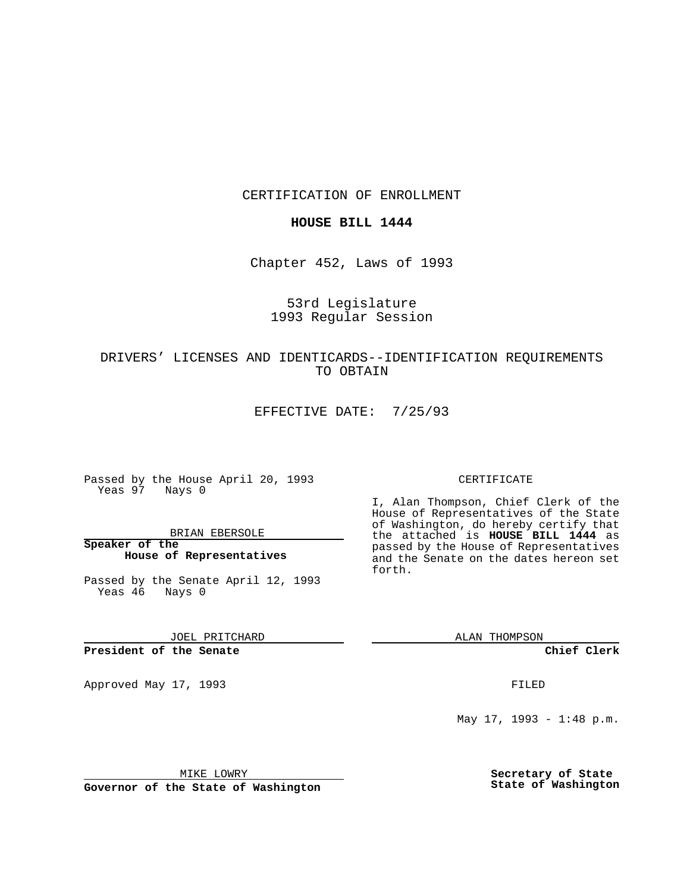CERTIFICATION OF ENROLLMENT

### **HOUSE BILL 1444**

Chapter 452, Laws of 1993

## 53rd Legislature 1993 Regular Session

## DRIVERS' LICENSES AND IDENTICARDS--IDENTIFICATION REQUIREMENTS TO OBTAIN

EFFECTIVE DATE: 7/25/93

Passed by the House April 20, 1993 Yeas 97 Nays 0

BRIAN EBERSOLE

**Speaker of the House of Representatives**

Passed by the Senate April 12, 1993 Yeas 46 Nays 0

JOEL PRITCHARD

**President of the Senate**

Approved May 17, 1993 **FILED** 

#### CERTIFICATE

I, Alan Thompson, Chief Clerk of the House of Representatives of the State of Washington, do hereby certify that the attached is **HOUSE BILL 1444** as passed by the House of Representatives and the Senate on the dates hereon set forth.

ALAN THOMPSON

**Chief Clerk**

May 17, 1993 - 1:48 p.m.

MIKE LOWRY

**Governor of the State of Washington**

**Secretary of State State of Washington**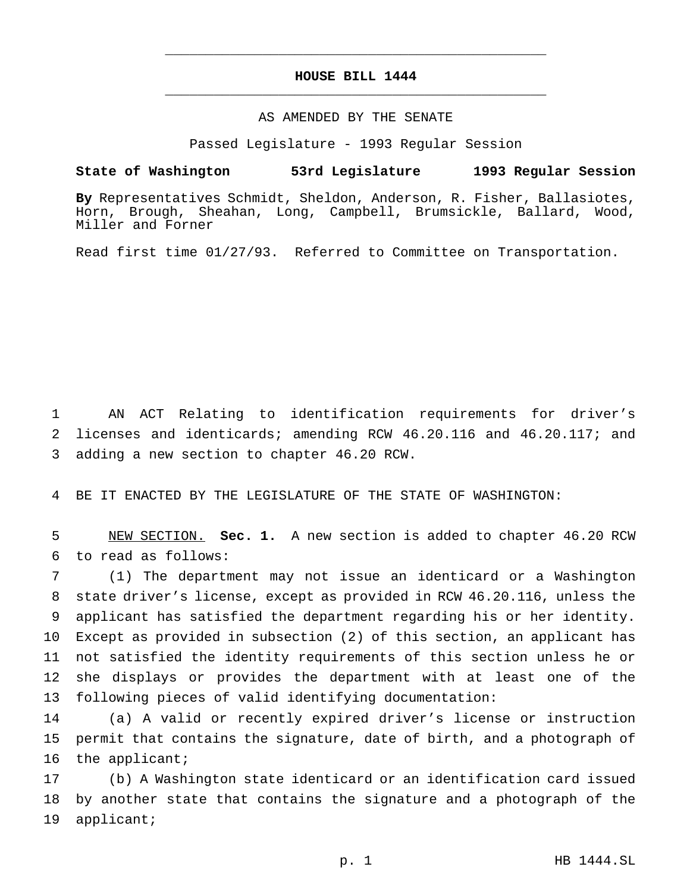# **HOUSE BILL 1444** \_\_\_\_\_\_\_\_\_\_\_\_\_\_\_\_\_\_\_\_\_\_\_\_\_\_\_\_\_\_\_\_\_\_\_\_\_\_\_\_\_\_\_\_\_\_\_

\_\_\_\_\_\_\_\_\_\_\_\_\_\_\_\_\_\_\_\_\_\_\_\_\_\_\_\_\_\_\_\_\_\_\_\_\_\_\_\_\_\_\_\_\_\_\_

#### AS AMENDED BY THE SENATE

Passed Legislature - 1993 Regular Session

## **State of Washington 53rd Legislature 1993 Regular Session**

**By** Representatives Schmidt, Sheldon, Anderson, R. Fisher, Ballasiotes, Horn, Brough, Sheahan, Long, Campbell, Brumsickle, Ballard, Wood, Miller and Forner

Read first time 01/27/93. Referred to Committee on Transportation.

 AN ACT Relating to identification requirements for driver's licenses and identicards; amending RCW 46.20.116 and 46.20.117; and adding a new section to chapter 46.20 RCW.

BE IT ENACTED BY THE LEGISLATURE OF THE STATE OF WASHINGTON:

 NEW SECTION. **Sec. 1.** A new section is added to chapter 46.20 RCW to read as follows:

 (1) The department may not issue an identicard or a Washington state driver's license, except as provided in RCW 46.20.116, unless the applicant has satisfied the department regarding his or her identity. Except as provided in subsection (2) of this section, an applicant has not satisfied the identity requirements of this section unless he or she displays or provides the department with at least one of the following pieces of valid identifying documentation:

 (a) A valid or recently expired driver's license or instruction permit that contains the signature, date of birth, and a photograph of the applicant;

 (b) A Washington state identicard or an identification card issued by another state that contains the signature and a photograph of the applicant;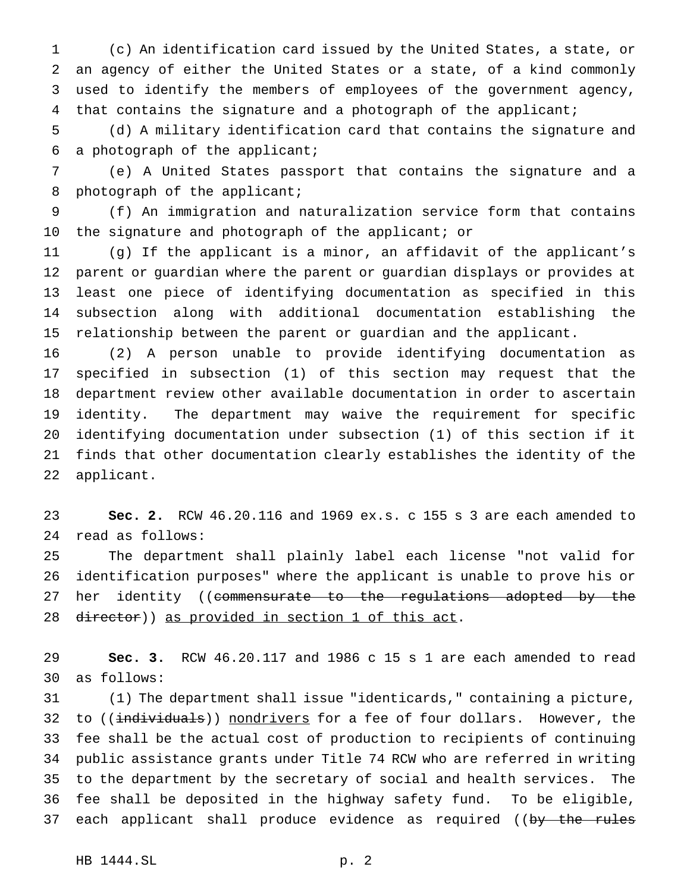(c) An identification card issued by the United States, a state, or an agency of either the United States or a state, of a kind commonly used to identify the members of employees of the government agency, 4 that contains the signature and a photograph of the applicant;

 (d) A military identification card that contains the signature and a photograph of the applicant;

 (e) A United States passport that contains the signature and a 8 photograph of the applicant;

 (f) An immigration and naturalization service form that contains the signature and photograph of the applicant; or

 (g) If the applicant is a minor, an affidavit of the applicant's parent or guardian where the parent or guardian displays or provides at least one piece of identifying documentation as specified in this subsection along with additional documentation establishing the relationship between the parent or guardian and the applicant.

 (2) A person unable to provide identifying documentation as specified in subsection (1) of this section may request that the department review other available documentation in order to ascertain identity. The department may waive the requirement for specific identifying documentation under subsection (1) of this section if it finds that other documentation clearly establishes the identity of the applicant.

 **Sec. 2.** RCW 46.20.116 and 1969 ex.s. c 155 s 3 are each amended to read as follows:

 The department shall plainly label each license "not valid for identification purposes" where the applicant is unable to prove his or 27 her identity ((commensurate to the regulations adopted by the 28 director)) as provided in section 1 of this act.

 **Sec. 3.** RCW 46.20.117 and 1986 c 15 s 1 are each amended to read as follows:

 (1) The department shall issue "identicards," containing a picture, 32 to ((individuals)) nondrivers for a fee of four dollars. However, the fee shall be the actual cost of production to recipients of continuing public assistance grants under Title 74 RCW who are referred in writing to the department by the secretary of social and health services. The fee shall be deposited in the highway safety fund. To be eligible, 37 each applicant shall produce evidence as required ((by the rules